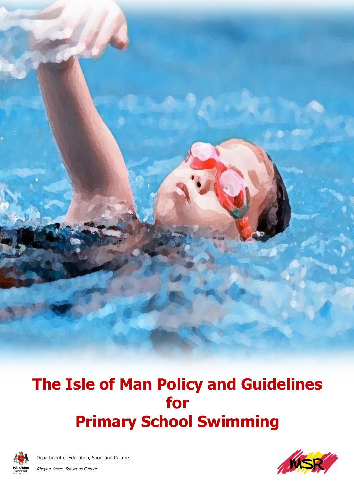**The Isle of Man Policy and Guidelines for Primary School Swimming**



Department of Education, Sport and Culture Rheynn Ynsee, Spoyrt as Cultoor

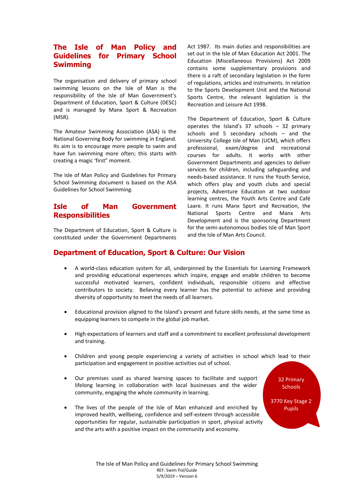# **The Isle of Man Policy and Guidelines for Primary School Swimming**

The organisation and delivery of primary school swimming lessons on the Isle of Man is the responsibility of the Isle of Man Government's Department of Education, Sport & Culture (DESC) and is managed by Manx Sport & Recreation (MSR).

The Amateur Swimming Association (ASA) is the National Governing Body for swimming in England. Its aim is to encourage more people to swim and have fun swimming more often; this starts with creating a magic 'first" moment.

The Isle of Man Policy and Guidelines for Primary School Swimming document is based on the ASA Guidelines for School Swimming.

## **Isle of Man Government Responsibilities**

The Department of Education, Sport & Culture is constituted under the Government Departments

Act 1987. Its main duties and responsibilities are set out in the Isle of Man Education Act 2001. The Education (Miscellaneous Provisions) Act 2009 contains some supplementary provisions and there is a raft of secondary legislation in the form of regulations, articles and instruments. In relation to the Sports Development Unit and the National Sports Centre, the relevant legislation is the Recreation and Leisure Act 1998.

The Department of Education, Sport & Culture operates the Island's 37 schools – 32 primary schools and 5 secondary schools – and the University College Isle of Man (UCM), which offers professional, exam/degree and recreational courses for adults. It works with other Government Departments and agencies to deliver services for children, including safeguarding and needs-based assistance. It runs the Youth Service, which offers play and youth clubs and special projects, Adventure Education at two outdoor learning centres, the Youth Arts Centre and Café Laare. It runs Manx Sport and Recreation, the National Sports Centre and Manx Arts Development and is the sponsoring Department for the semi-autonomous bodies Isle of Man Sport and the Isle of Man Arts Council.

## **Department of Education, Sport & Culture: Our Vision**

- A world-class education system for all, underpinned by the Essentials for Learning Framework and providing educational experiences which inspire, engage and enable children to become successful motivated learners, confident individuals, responsible citizens and effective contributors to society. Believing every learner has the potential to achieve and providing diversity of opportunity to meet the needs of all learners.
- Educational provision aligned to the Island's present and future skills needs, at the same time as equipping learners to compete in the global job market.
- High expectations of learners and staff and a commitment to excellent professional development and training.
- Children and young people experiencing a variety of activities in school which lead to their participation and engagement in positive activities out of school.
- Our premises used as shared learning spaces to facilitate and support lifelong learning in collaboration with local businesses and the wider community, engaging the whole community in learning.
- The lives of the people of the Isle of Man enhanced and enriched by improved health, wellbeing, confidence and self-esteem through accessible opportunities for regular, sustainable participation in sport, physical activity and the arts with a positive impact on the community and economy.

32 Primary **Schools** 

3770 Key Stage 2 Pupils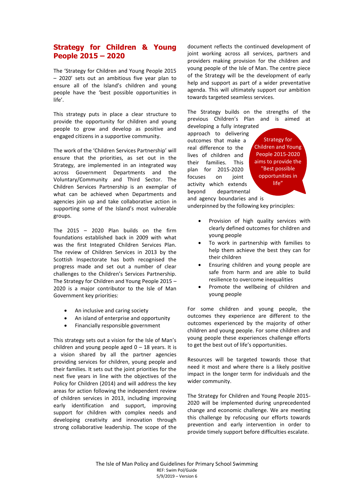## **Strategy for Children & Young People 2015 – 2020**

The 'Strategy for Children and Young People 2015 – 2020' sets out an ambitious five year plan to ensure all of the Island's children and young people have the 'best possible opportunities in life'.

This strategy puts in place a clear structure to provide the opportunity for children and young people to grow and develop as positive and engaged citizens in a supportive community.

The work of the 'Children Services Partnership' will ensure that the priorities, as set out in the Strategy, are implemented in an integrated way across Government Departments and the Voluntary/Community and Third Sector. The Children Services Partnership is an exemplar of what can be achieved when Departments and agencies join up and take collaborative action in supporting some of the Island's most vulnerable groups.

The 2015 – 2020 Plan builds on the firm foundations established back in 2009 with what was the first Integrated Children Services Plan. The review of Children Services in 2013 by the Scottish Inspectorate has both recognised the progress made and set out a number of clear challenges to the Children's Services Partnership. The Strategy for Children and Young People 2015 – 2020 is a major contributor to the Isle of Man Government key priorities:

- An inclusive and caring society
- An island of enterprise and opportunity
- Financially responsible government

This strategy sets out a vision for the Isle of Man's children and young people aged  $0 - 18$  years. It is a vision shared by all the partner agencies providing services for children, young people and their families. It sets out the joint priorities for the next five years in line with the objectives of the Policy for Children (2014) and will address the key areas for action following the independent review of children services in 2013, including improving early identification and support, improving support for children with complex needs and developing creativity and innovation through strong collaborative leadership. The scope of the

document reflects the continued development of joint working across all services, partners and providers making provision for the children and young people of the Isle of Man. The centre piece of the Strategy will be the development of early help and support as part of a wider preventative agenda. This will ultimately support our ambition towards targeted seamless services.

The Strategy builds on the strengths of the previous Children's Plan and is aimed at

developing a fully integrated approach to delivering outcomes that make a real difference to the lives of children and their families. This plan for 2015-2020 focuses on joint activity which extends beyond departmental

Strategy for Children and Young People 2015-2020 aims to provide the "Best possible opportunities in life"

and agency boundaries and is underpinned by the following key principles:

- Provision of high quality services with clearly defined outcomes for children and young people
- To work in partnership with families to help them achieve the best they can for their children
- Ensuring children and young people are safe from harm and are able to build resilience to overcome inequalities
- Promote the wellbeing of children and young people

For some children and young people, the outcomes they experience are different to the outcomes experienced by the majority of other children and young people. For some children and young people these experiences challenge efforts to get the best out of life's opportunities.

Resources will be targeted towards those that need it most and where there is a likely positive impact in the longer term for individuals and the wider community.

The Strategy for Children and Young People 2015- 2020 will be implemented during unprecedented change and economic challenge. We are meeting this challenge by refocusing our efforts towards prevention and early intervention in order to provide timely support before difficulties escalate.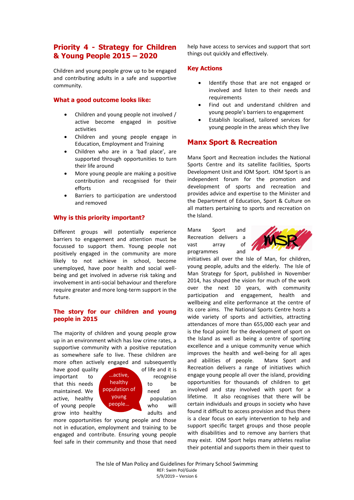## **Priority 4 - Strategy for Children & Young People 2015 – 2020**

Children and young people grow up to be engaged and contributing adults in a safe and supportive community.

#### **What a good outcome looks like:**

- Children and young people not involved / active become engaged in positive activities
- Children and young people engage in Education, Employment and Training
- Children who are in a 'bad place', are supported through opportunities to turn their life around
- More young people are making a positive contribution and recognised for their efforts
- Barriers to participation are understood and removed

### **Why is this priority important?**

Different groups will potentially experience barriers to engagement and attention must be focussed to support them. Young people not positively engaged in the community are more likely to not achieve in school, become unemployed, have poor health and social wellbeing and get involved in adverse risk taking and involvement in anti-social behaviour and therefore require greater and more long-term support in the future.

### **The story for our children and young people in 2015**

The majority of children and young people grow up in an environment which has low crime rates, a supportive community with a positive reputation as somewhere safe to live. These children are more often actively engaged and subsequently

have good quality of life and it is  $im$  important to  $r$  active, recognise that this needs  $\overline{h}$  healthy to be maintained. We **Population of** need an active, healthy **young** population of young people vertical who will grow into healthy adults and



more opportunities for young people and those not in education, employment and training to be engaged and contribute. Ensuring young people feel safe in their community and those that need help have access to services and support that sort things out quickly and effectively.

### **Key Actions**

- Identify those that are not engaged or involved and listen to their needs and requirements
- Find out and understand children and young people's barriers to engagement
- Establish localised, tailored services for young people in the areas which they live

## **Manx Sport & Recreation**

Manx Sport and Recreation includes the National Sports Centre and its satellite facilities, Sports Development Unit and IOM Sport. IOM Sport is an independent forum for the promotion and development of sports and recreation and provides advice and expertise to the Minister and the Department of Education, Sport & Culture on all matters pertaining to sports and recreation on the Island.

Manx Sport and Recreation delivers a vast array of programmes and



initiatives all over the Isle of Man, for children, young people, adults and the elderly. The Isle of Man Strategy for Sport, published in November 2014, has shaped the vision for much of the work over the next 10 years, with community participation and engagement, health and wellbeing and elite performance at the centre of its core aims. The National Sports Centre hosts a wide variety of sports and activities, attracting attendances of more than 655,000 each year and is the focal point for the development of sport on the Island as well as being a centre of sporting excellence and a unique community venue which improves the health and well-being for all ages and abilities of people. Manx Sport and Recreation delivers a range of initiatives which engage young people all over the island, providing opportunities for thousands of children to get involved and stay involved with sport for a lifetime. It also recognises that there will be certain individuals and groups in society who have found it difficult to access provision and thus there is a clear focus on early intervention to help and support specific target groups and those people with disabilities and to remove any barriers that may exist. IOM Sport helps many athletes realise their potential and supports them in their quest to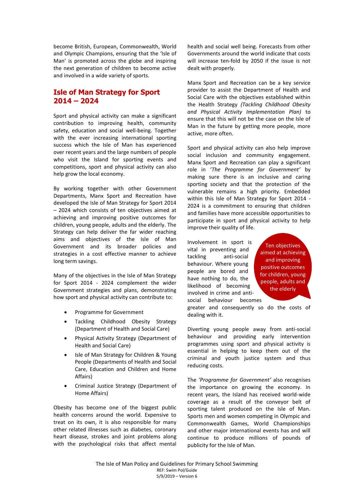become British, European, Commonwealth, World and Olympic Champions, ensuring that the 'Isle of Man' is promoted across the globe and inspiring the next generation of children to become active and involved in a wide variety of sports.

# **Isle of Man Strategy for Sport 2014 – 2024**

Sport and physical activity can make a significant contribution to improving health, community safety, education and social well-being. Together with the ever increasing international sporting success which the Isle of Man has experienced over recent years and the large numbers of people who visit the Island for sporting events and competitions, sport and physical activity can also help grow the local economy.

By working together with other Government Departments, Manx Sport and Recreation have developed the Isle of Man Strategy for Sport 2014 – 2024 which consists of ten objectives aimed at achieving and improving positive outcomes for children, young people, adults and the elderly. The Strategy can help deliver the far wider reaching aims and objectives of the Isle of Man Government and its broader policies and strategies in a cost effective manner to achieve long term savings.

Many of the objectives in the Isle of Man Strategy for Sport 2014 - 2024 complement the wider Government strategies and plans, demonstrating how sport and physical activity can contribute to:

- Programme for Government
- Tackling Childhood Obesity Strategy (Department of Health and Social Care)
- Physical Activity Strategy (Department of Health and Social Care)
- Isle of Man Strategy for Children & Young People (Departments of Health and Social Care, Education and Children and Home Affairs)
- Criminal Justice Strategy (Department of Home Affairs)

Obesity has become one of the biggest public health concerns around the world. Expensive to treat on its own, it is also responsible for many other related illnesses such as diabetes, coronary heart disease, strokes and joint problems along with the psychological risks that affect mental health and social well being. Forecasts from other Governments around the world indicate that costs will increase ten-fold by 2050 if the issue is not dealt with properly.

Manx Sport and Recreation can be a key service provider to assist the Department of Health and Social Care with the objectives established within the Health Strategy *(Tackling Childhood Obesity and Physical Activity Implementation Plan)* to ensure that this will not be the case on the Isle of Man in the future by getting more people, more active, more often.

Sport and physical activity can also help improve social inclusion and community engagement. Manx Sport and Recreation can play a significant role in '*The Programme for Government'* by making sure there is an inclusive and caring sporting society and that the protection of the vulnerable remains a high priority. Embedded within this Isle of Man Strategy for Sport 2014 - 2024 is a commitment to ensuring that children and families have more accessible opportunities to participate in sport and physical activity to help improve their quality of life.

Involvement in sport is vital in preventing and tackling anti-social behaviour. Where young people are bored and have nothing to do, the likelihood of becoming involved in crime and antisocial behaviour becomes

Ten objectives aimed at achieving and improving positive outcomes for children, young people, adults and the elderly

greater and consequently so do the costs of dealing with it.

Diverting young people away from anti-social behaviour and providing early intervention programmes using sport and physical activity is essential in helping to keep them out of the criminal and youth justice system and thus reducing costs.

The *'Programme for Government'* also recognises the importance on growing the economy. In recent years, the Island has received world-wide coverage as a result of the conveyor belt of sporting talent produced on the Isle of Man. Sports men and women competing in Olympic and Commonwealth Games, World Championships and other major international events has and will continue to produce millions of pounds of publicity for the Isle of Man.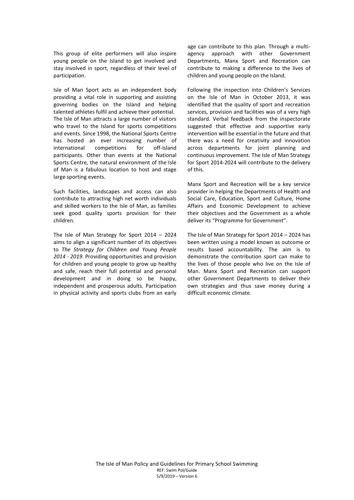This group of elite performers will also inspire young people on the Island to get involved and stay involved in sport, regardless of their level of participation.

Isle of Man Sport acts as an independent body providing a vital role in supporting and assisting governing bodies on the Island and helping talented athletes fulfil and achieve their potential. The Isle of Man attracts a large number of visitors who travel to the Island for sports competitions and events. Since 1998, the National Sports Centre has hosted an ever increasing number of international competitions for off-Island participants. Other than events at the National Sports Centre, the natural environment of the Isle of Man is a fabulous location to host and stage large sporting events.

Such facilities, landscapes and access can also contribute to attracting high net worth individuals and skilled workers to the Isle of Man, as families seek good quality sports provision for their children.

The Isle of Man Strategy for Sport 2014 – 2024 aims to align a significant number of its objectives to *The Strategy for Children and Young People 2014 - 2019.* Providing opportunities and provision for children and young people to grow up healthy and safe, reach their full potential and personal development and in doing so be happy, independent and prosperous adults. Participation in physical activity and sports clubs from an early age can contribute to this plan. Through a multiagency approach with other Government Departments, Manx Sport and Recreation can contribute to making a difference to the lives of children and young people on the Island.

Following the inspection into Children's Services on the Isle of Man in October 2013, it was identified that the quality of sport and recreation services, provision and facilities was of a very high standard. Verbal feedback from the inspectorate suggested that effective and supportive early intervention will be essential in the future and that there was a need for creativity and innovation across departments for joint planning and continuous improvement. The Isle of Man Strategy for Sport 2014-2024 will contribute to the delivery of this.

Manx Sport and Recreation will be a key service provider in helping the Departments of Health and Social Care, Education, Sport and Culture, Home Affairs and Economic Development to achieve their objectives and the Government as a whole deliver its "Programme for Government".

The Isle of Man Strategy for Sport 2014 – 2024 has been written using a model known as outcome or results based accountability. The aim is to demonstrate the contribution sport can make to the lives of those people who live on the Isle of Man. Manx Sport and Recreation can support other Government Departments to deliver their own strategies and thus save money during a difficult economic climate.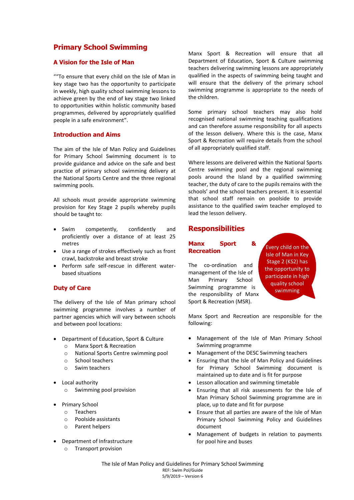# **Primary School Swimming**

## **A Vision for the Isle of Man**

""To ensure that every child on the Isle of Man in key stage two has the opportunity to participate in weekly, high quality school swimming lessons to achieve green by the end of key stage two linked to opportunities within holistic community based programmes, delivered by appropriately qualified people in a safe environment".

### **Introduction and Aims**

The aim of the Isle of Man Policy and Guidelines for Primary School Swimming document is to provide guidance and advice on the safe and best practice of primary school swimming delivery at the National Sports Centre and the three regional swimming pools.

All schools must provide appropriate swimming provision for Key Stage 2 pupils whereby pupils should be taught to:

- Swim competently, confidently and proficiently over a distance of at least 25 metres
- Use a range of strokes effectively such as front crawl, backstroke and breast stroke
- Perform safe self-rescue in different waterbased situations

#### **Duty of Care**

The delivery of the Isle of Man primary school swimming programme involves a number of partner agencies which will vary between schools and between pool locations:

- Department of Education, Sport & Culture
	- o Manx Sport & Recreation
	- o National Sports Centre swimming pool
	- o School teachers
	- o Swim teachers
- Local authority
	- o Swimming pool provision
- Primary School
	- o Teachers
	- o Poolside assistants
	- o Parent helpers
- Department of Infrastructure
	- o Transport provision

Manx Sport & Recreation will ensure that all Department of Education, Sport & Culture swimming teachers delivering swimming lessons are appropriately qualified in the aspects of swimming being taught and will ensure that the delivery of the primary school swimming programme is appropriate to the needs of the children.

Some primary school teachers may also hold recognised national swimming teaching qualifications and can therefore assume responsibility for all aspects of the lesson delivery. Where this is the case, Manx Sport & Recreation will require details from the school of all appropriately qualified staff.

Where lessons are delivered within the National Sports Centre swimming pool and the regional swimming pools around the Island by a qualified swimming teacher, the duty of care to the pupils remains with the schools' and the school teachers present. It is essential that school staff remain on poolside to provide assistance to the qualified swim teacher employed to lead the lesson delivery.

## **Responsibilities**

### **Manx Sport & Recreation**

The co-ordination and management of the Isle of Man Primary School Swimming programme is the responsibility of Manx Sport & Recreation (MSR).

Every child on the Isle of Man in Key Stage 2 (KS2) has the opportunity to participate in high quality school swimming

Manx Sport and Recreation are responsible for the following:

- Management of the Isle of Man Primary School Swimming programme
- Management of the DESC Swimming teachers
- Ensuring that the Isle of Man Policy and Guidelines for Primary School Swimming document is maintained up to date and is fit for purpose
- Lesson allocation and swimming timetable
- Ensuring that all risk assessments for the Isle of Man Primary School Swimming programme are in place, up to date and fit for purpose
- Ensure that all parties are aware of the Isle of Man Primary School Swimming Policy and Guidelines document
- Management of budgets in relation to payments for pool hire and buses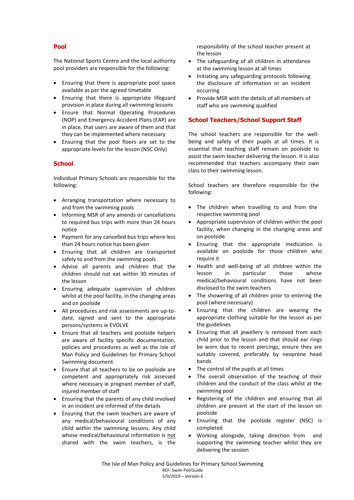## **Pool**

The National Sports Centre and the local authority pool providers are responsible for the following:

- Ensuring that there is appropriate pool space available as per the agreed timetable
- Ensuring that there is appropriate lifeguard provision in place during all swimming lessons
- Ensure that Normal Operating Procedures (NOP) and Emergency Accident Plans (EAP) are in place, that users are aware of them and that they can be implemented where necessary
- Ensuring that the pool floors are set to the appropriate levels for the lesson (NSC Only)

## **School**

Individual Primary Schools are responsible for the following:

- Arranging transportation where necessary to and from the swimming pools
- Informing MSR of any amends or cancellations to required bus trips with more than 24 hours notice
- Payment for any cancelled bus trips where less than 24 hours notice has been given
- Ensuring that all children are transported safely to and from the swimming pools
- Advise all parents and children that the children should not eat within 30 minutes of the lesson
- Ensuring adequate supervision of children whilst at the pool facility, in the changing areas and on poolside
- All procedures and risk assessments are up-todate, signed and sent to the appropriate persons/systems ie EVOLVE
- Ensure that all teachers and poolside helpers are aware of facility specific documentation, policies and procedures as well as the Isle of Man Policy and Guidelines for Primary School Swimming document
- Ensure that all teachers to be on poolside are competent and appropriately risk assessed where necessary ie pregnant member of staff, injured member of staff
- Ensuring that the parents of any child involved in an incident are informed of the details
- Ensuring that the swim teachers are aware of any medical/behavioural conditions of any child within the swimming lessons. Any child whose medical/behavioural information is not shared with the swim teachers, is the

responsibility of the school teacher present at the lesson

- The safeguarding of all children in attendance at the swimming lesson at all times
- Initiating any safeguarding protocols following the disclosure of information or an incident occurring
- Provide MSR with the details of all members of staff who are swimming qualified

## **School Teachers/School Support Staff**

The school teachers are responsible for the wellbeing and safety of their pupils at all times. It is essential that teaching staff remain on poolside to assist the swim teacher delivering the lesson. It is also recommended that teachers accompany their own class to their swimming lesson.

School teachers are therefore responsible for the following:

- The children when travelling to and from the respective swimming pool
- Appropriate supervision of children within the pool facility, when changing in the changing areas and on poolside
- Ensuring that the appropriate medication is available on poolside for those children who require it
- Health and well-being of all children within the lesson in particular those whose medical/behavioural conditions have not been disclosed to the swim teachers
- The showering of all children prior to entering the pool (where necessary)
- Ensuring that the children are wearing the appropriate clothing suitable for the lesson as per the guidelines
- Ensuring that all jewellery is removed from each child prior to the lesson and that should ear rings be worn due to recent piercings, ensure they are suitably covered, preferably by neoprene head bands
- The control of the pupils at all times
- The overall observation of the teaching of their children and the conduct of the class whilst at the swimming pool
- Registering of the children and ensuring that all children are present at the start of the lesson on poolside
- Ensuring that the poolside register (NSC) is completed
- Working alongside, taking direction from and supporting the swimming teacher whilst they are delivering the session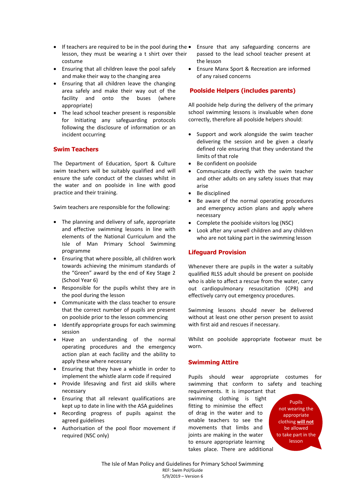- If teachers are required to be in the pool during the Ensure that any safeguarding concerns are lesson, they must be wearing a t shirt over their costume
- Ensuring that all children leave the pool safely and make their way to the changing area
- Ensuring that all children leave the changing area safely and make their way out of the facility and onto the buses (where appropriate)
- The lead school teacher present is responsible for Initiating any safeguarding protocols following the disclosure of information or an incident occurring

### **Swim Teachers**

The Department of Education, Sport & Culture swim teachers will be suitably qualified and will ensure the safe conduct of the classes whilst in the water and on poolside in line with good practice and their training.

Swim teachers are responsible for the following:

- The planning and delivery of safe, appropriate and effective swimming lessons in line with elements of the National Curriculum and the Isle of Man Primary School Swimming programme
- Ensuring that where possible, all children work towards achieving the minimum standards of the "Green" award by the end of Key Stage 2 (School Year 6)
- Responsible for the pupils whilst they are in the pool during the lesson
- Communicate with the class teacher to ensure that the correct number of pupils are present on poolside prior to the lesson commencing
- Identify appropriate groups for each swimming session
- Have an understanding of the normal operating procedures and the emergency action plan at each facility and the ability to apply these where necessary
- Ensuring that they have a whistle in order to implement the whistle alarm code if required
- Provide lifesaving and first aid skills where necessary
- Ensuring that all relevant qualifications are kept up to date in line with the ASA guidelines
- Recording progress of pupils against the agreed guidelines
- Authorisation of the pool floor movement if required (NSC only)
- passed to the lead school teacher present at the lesson
- Ensure Manx Sport & Recreation are informed of any raised concerns

## **Poolside Helpers (includes parents)**

All poolside help during the delivery of the primary school swimming lessons is invaluable when done correctly, therefore all poolside helpers should:

- Support and work alongside the swim teacher delivering the session and be given a clearly defined role ensuring that they understand the limits of that role
- Be confident on poolside
- Communicate directly with the swim teacher and other adults on any safety issues that may arise
- Be disciplined
- Be aware of the normal operating procedures and emergency action plans and apply where necessary
- Complete the poolside visitors log (NSC)
- Look after any unwell children and any children who are not taking part in the swimming lesson

## **Lifeguard Provision**

Whenever there are pupils in the water a suitably qualified RLSS adult should be present on poolside who is able to affect a rescue from the water, carry out cardiopulmonary resuscitation (CPR) and effectively carry out emergency procedures.

Swimming lessons should never be delivered without at least one other person present to assist with first aid and rescues if necessary.

Whilst on poolside appropriate footwear must be worn.

## **Swimming Attire**

Pupils should wear appropriate costumes for swimming that conform to safety and teaching

requirements. It is important that swimming clothing is tight fitting to minimise the effect of drag in the water and to enable teachers to see the movements that limbs and joints are making in the water to ensure appropriate learning takes place. There are additional

not wearing the appropriate clothing **will not**  $T_{\text{ref}}$ to take part in the TE Pupils be allowed lesson

CLOTHING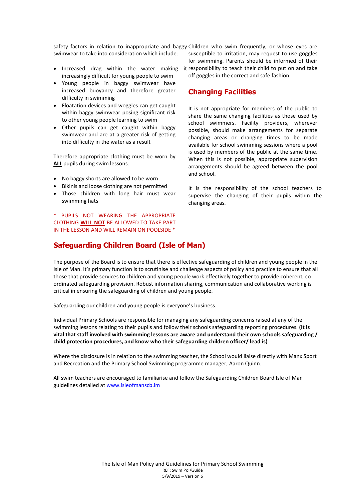safety factors in relation to inappropriate and baggy Children who swim frequently, or whose eyes are swimwear to take into consideration which include:

- increasingly difficult for young people to swim
- Young people in baggy swimwear have increased buoyancy and therefore greater difficulty in swimming
- Floatation devices and woggles can get caught within baggy swimwear posing significant risk to other young people learning to swim
- Other pupils can get caught within baggy swimwear and are at a greater risk of getting into difficulty in the water as a result

Therefore appropriate clothing must be worn by **ALL** pupils during swim lessons:

- No baggy shorts are allowed to be worn
- Bikinis and loose clothing are not permitted
- Those children with long hair must wear swimming hats

\* PUPILS NOT WEARING THE APPROPRIATE CLOTHING **WILL NOT** BE ALLOWED TO TAKE PART IN THE LESSON AND WILL REMAIN ON POOLSIDE \*

susceptible to irritation, may request to use goggles for swimming. Parents should be informed of their

• Increased drag within the water making it responsibility to teach their child to put on and take off goggles in the correct and safe fashion.

## **Changing Facilities**

It is not appropriate for members of the public to share the same changing facilities as those used by school swimmers. Facility providers, wherever possible, should make arrangements for separate changing areas or changing times to be made available for school swimming sessions where a pool is used by members of the public at the same time. When this is not possible, appropriate supervision arrangements should be agreed between the pool and school.

It is the responsibility of the school teachers to supervise the changing of their pupils within the changing areas.

## **Safeguarding Children Board (Isle of Man)**

The purpose of the Board is to ensure that there is effective safeguarding of children and young people in the Isle of Man. It's primary function is to scrutinise and challenge aspects of policy and practice to ensure that all those that provide services to children and young people work effectively together to provide coherent, coordinated safeguarding provision. Robust information sharing, communication and collaborative working is critical in ensuring the safeguarding of children and young people.

Safeguarding our children and young people is everyone's business.

Individual Primary Schools are responsible for managing any safeguarding concerns raised at any of the swimming lessons relating to their pupils and follow their schools safeguarding reporting procedures. **(It is vital that staff involved with swimming lessons are aware and understand their own schools safeguarding / child protection procedures, and know who their safeguarding children officer/ lead is)** 

Where the disclosure is in relation to the swimming teacher, the School would liaise directly with Manx Sport and Recreation and the Primary School Swimming programme manager, Aaron Quinn.

All swim teachers are encouraged to familiarise and follow the Safeguarding Children Board Isle of Man guidelines detailed at [www.isleofmanscb.im](http://www.isleofmanscb.im/)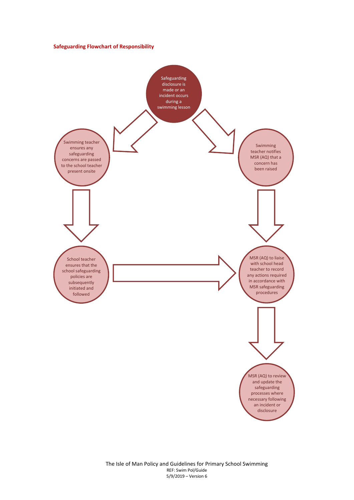#### **Safeguarding Flowchart of Responsibility**

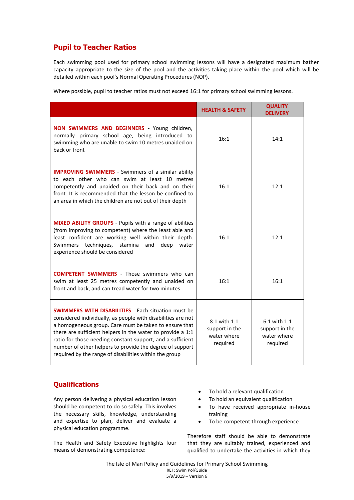# **Pupil to Teacher Ratios**

Each swimming pool used for primary school swimming lessons will have a designated maximum bather capacity appropriate to the size of the pool and the activities taking place within the pool which will be detailed within each pool's Normal Operating Procedures (NOP).

Where possible, pupil to teacher ratios must not exceed 16:1 for primary school swimming lessons.

|                                                                                                                                                                                                                                                                                                                                                                                                                                        | <b>HEALTH &amp; SAFETY</b>                                | <b>QUALITY</b><br><b>DELIVERY</b>                         |
|----------------------------------------------------------------------------------------------------------------------------------------------------------------------------------------------------------------------------------------------------------------------------------------------------------------------------------------------------------------------------------------------------------------------------------------|-----------------------------------------------------------|-----------------------------------------------------------|
| <b>NON SWIMMERS AND BEGINNERS</b> - Young children,<br>normally primary school age, being introduced to<br>swimming who are unable to swim 10 metres unaided on<br>back or front                                                                                                                                                                                                                                                       | 16:1                                                      | 14:1                                                      |
| <b>IMPROVING SWIMMERS</b> - Swimmers of a similar ability<br>to each other who can swim at least 10 metres<br>competently and unaided on their back and on their<br>front. It is recommended that the lesson be confined to<br>an area in which the children are not out of their depth                                                                                                                                                | 16:1                                                      | 12:1                                                      |
| <b>MIXED ABILITY GROUPS</b> - Pupils with a range of abilities<br>(from improving to competent) where the least able and<br>least confident are working well within their depth.<br>Swimmers techniques, stamina<br>and<br>deep<br>water<br>experience should be considered                                                                                                                                                            | 16:1                                                      | 12:1                                                      |
| <b>COMPETENT SWIMMERS</b> - Those swimmers who can<br>swim at least 25 metres competently and unaided on<br>front and back, and can tread water for two minutes                                                                                                                                                                                                                                                                        | 16:1                                                      | 16:1                                                      |
| <b>SWIMMERS WITH DISABILITIES</b> - Each situation must be<br>considered individually, as people with disabilities are not<br>a homogeneous group. Care must be taken to ensure that<br>there are sufficient helpers in the water to provide a 1:1<br>ratio for those needing constant support, and a sufficient<br>number of other helpers to provide the degree of support<br>required by the range of disabilities within the group | 8:1 with 1:1<br>support in the<br>water where<br>required | 6:1 with 1:1<br>support in the<br>water where<br>required |

## **Qualifications**

Any person delivering a physical education lesson should be competent to do so safely. This involves the necessary skills, knowledge, understanding and expertise to plan, deliver and evaluate a physical education programme.

The Health and Safety Executive highlights four means of demonstrating competence:

- To hold a relevant qualification
- To hold an equivalent qualification
- To have received appropriate in-house training
- To be competent through experience

Therefore staff should be able to demonstrate that they are suitably trained, experienced and qualified to undertake the activities in which they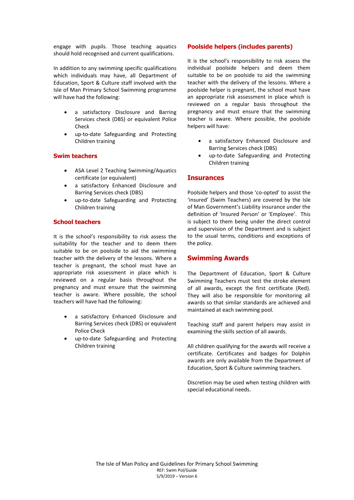engage with pupils. Those teaching aquatics should hold recognised and current qualifications.

In addition to any swimming specific qualifications which individuals may have, all Department of Education, Sport & Culture staff involved with the Isle of Man Primary School Swimming programme will have had the following:

- a satisfactory Disclosure and Barring Services check (DBS) or equivalent Police Check
- up-to-date Safeguarding and Protecting Children training

## **Swim teachers**

- ASA Level 2 Teaching Swimming/Aquatics certificate (or equivalent)
- a satisfactory Enhanced Disclosure and Barring Services check (DBS)
- up-to-date Safeguarding and Protecting Children training

### **School teachers**

It is the school's responsibility to risk assess the suitability for the teacher and to deem them suitable to be on poolside to aid the swimming teacher with the delivery of the lessons. Where a teacher is pregnant, the school must have an appropriate risk assessment in place which is reviewed on a regular basis throughout the pregnancy and must ensure that the swimming teacher is aware. Where possible, the school teachers will have had the following:

- a satisfactory Enhanced Disclosure and Barring Services check (DBS) or equivalent Police Check
- up-to-date Safeguarding and Protecting Children training

### **Poolside helpers (includes parents)**

It is the school's responsibility to risk assess the individual poolside helpers and deem them suitable to be on poolside to aid the swimming teacher with the delivery of the lessons. Where a poolside helper is pregnant, the school must have an appropriate risk assessment in place which is reviewed on a regular basis throughout the pregnancy and must ensure that the swimming teacher is aware. Where possible, the poolside helpers will have:

- a satisfactory Enhanced Disclosure and Barring Services check (DBS)
- up-to-date Safeguarding and Protecting Children training

### **Insurances**

Poolside helpers and those 'co-opted' to assist the 'insured' (Swim Teachers) are covered by the Isle of Man Government's Liability insurance under the definition of 'Insured Person' or 'Employee'. This is subject to them being under the direct control and supervision of the Department and is subject to the usual terms, conditions and exceptions of the policy.

## **Swimming Awards**

The Department of Education, Sport & Culture Swimming Teachers must test the stroke element of all awards, except the first certificate (Red). They will also be responsible for monitoring all awards so that similar standards are achieved and maintained at each swimming pool.

Teaching staff and parent helpers may assist in examining the skills section of all awards.

All children qualifying for the awards will receive a certificate. Certificates and badges for Dolphin awards are only available from the Department of Education, Sport & Culture swimming teachers.

Discretion may be used when testing children with special educational needs.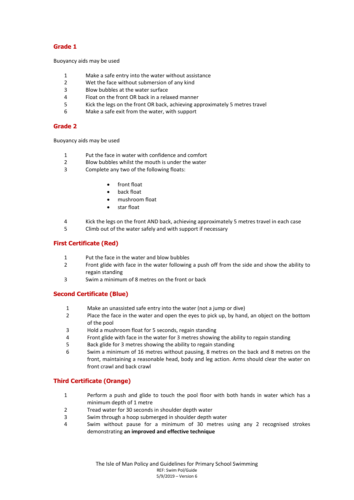## **Grade 1**

Buoyancy aids may be used

- 1 Make a safe entry into the water without assistance<br>2 Wet the face without submersion of any kind
- Wet the face without submersion of any kind
- 3 Blow bubbles at the water surface
- 4 Float on the front OR back in a relaxed manner
- 5 Kick the legs on the front OR back, achieving approximately 5 metres travel
- 6 Make a safe exit from the water, with support

## **Grade 2**

Buoyancy aids may be used

- 1 Put the face in water with confidence and comfort
- 2 Blow bubbles whilst the mouth is under the water
- 3 Complete any two of the following floats:
	- front float
	- back float
	- mushroom float
	- star float
- 4 Kick the legs on the front AND back, achieving approximately 5 metres travel in each case
- 5 Climb out of the water safely and with support if necessary

## **First Certificate (Red)**

- 1 Put the face in the water and blow bubbles
- 2 Front glide with face in the water following a push off from the side and show the ability to regain standing
- 3 Swim a minimum of 8 metres on the front or back

## **Second Certificate (Blue)**

- 1 Make an unassisted safe entry into the water (not a jump or dive)
- 2 Place the face in the water and open the eyes to pick up, by hand, an object on the bottom of the pool
- 3 Hold a mushroom float for 5 seconds, regain standing
- 4 Front glide with face in the water for 3 metres showing the ability to regain standing
- 5 Back glide for 3 metres showing the ability to regain standing
- 6 Swim a minimum of 16 metres without pausing, 8 metres on the back and 8 metres on the front, maintaining a reasonable head, body and leg action. Arms should clear the water on front crawl and back crawl

## **Third Certificate (Orange)**

- 1 Perform a push and glide to touch the pool floor with both hands in water which has a minimum depth of 1 metre
- 2 Tread water for 30 seconds in shoulder depth water
- 3 Swim through a hoop submerged in shoulder depth water
- 4 Swim without pause for a minimum of 30 metres using any 2 recognised strokes demonstrating **an improved and effective technique**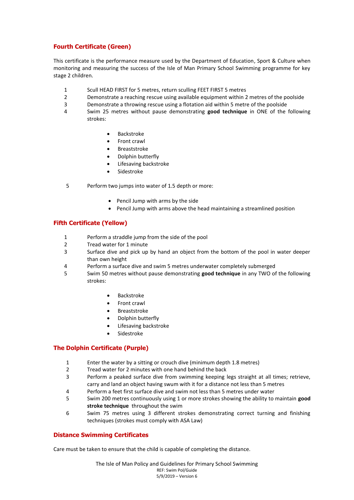## **Fourth Certificate (Green)**

This certificate is the performance measure used by the Department of Education, Sport & Culture when monitoring and measuring the success of the Isle of Man Primary School Swimming programme for key stage 2 children.

- 1 Scull HEAD FIRST for 5 metres, return sculling FEET FIRST 5 metres
- 2 Demonstrate a reaching rescue using available equipment within 2 metres of the poolside
- 3 Demonstrate a throwing rescue using a flotation aid within 5 metre of the poolside
- 4 Swim 25 metres without pause demonstrating **good technique** in ONE of the following strokes:
	- Backstroke
	- Front crawl
	- Breaststroke
	- Dolphin butterfly
	- Lifesaving backstroke
	- Sidestroke
- 5 Perform two jumps into water of 1.5 depth or more:
	- Pencil Jump with arms by the side
	- Pencil Jump with arms above the head maintaining a streamlined position

## **Fifth Certificate (Yellow)**

- 1 Perform a straddle jump from the side of the pool
- 2 Tread water for 1 minute
- 3 Surface dive and pick up by hand an object from the bottom of the pool in water deeper than own height
- 4 Perform a surface dive and swim 5 metres underwater completely submerged
- 5 Swim 50 metres without pause demonstrating **good technique** in any TWO of the following strokes:
	- Backstroke
	- Front crawl
	- Breaststroke
	- Dolphin butterfly
	- Lifesaving backstroke
	- Sidestroke

## **The Dolphin Certificate (Purple)**

- 1 Enter the water by a sitting or crouch dive (minimum depth 1.8 metres)
- 2 Tread water for 2 minutes with one hand behind the back
- 3 Perform a peaked surface dive from swimming keeping legs straight at all times; retrieve, carry and land an object having swum with it for a distance not less than 5 metres
- 4 Perform a feet first surface dive and swim not less than 5 metres under water
- 5 Swim 200 metres continuously using 1 or more strokes showing the ability to maintain **good stroke technique** throughout the swim
- 6 Swim 75 metres using 3 different strokes demonstrating correct turning and finishing techniques (strokes must comply with ASA Law)

## **Distance Swimming Certificates**

Care must be taken to ensure that the child is capable of completing the distance.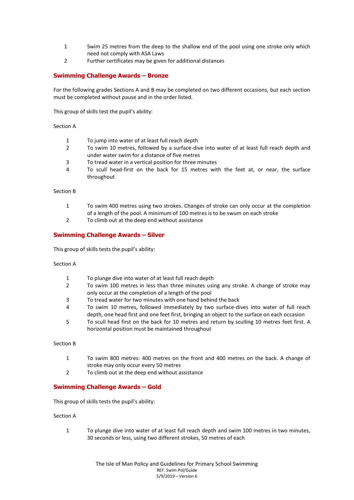- 1 Swim 25 metres from the deep to the shallow end of the pool using one stroke only which need not comply with ASA Laws
- 2 Further certificates may be given for additional distances

## **Swimming Challenge Awards – Bronze**

For the following grades Sections A and B may be completed on two different occasions, but each section must be completed without pause and in the order listed.

This group of skills test the pupil's ability:

#### Section A

- 1 To jump into water of at least full reach depth
- 2 To swim 10 metres, followed by a surface-dive into water of at least full reach depth and under water swim for a distance of five metres
- 3 To tread water in a vertical position for three minutes
- 4 To scull head-first on the back for 15 metres with the feet at, or near, the surface throughout

#### Section B

- 1 To swim 400 metres using two strokes. Changes of stroke can only occur at the completion of a length of the pool. A minimum of 100 metres is to be swum on each stroke
- 2 To climb out at the deep end without assistance

### **Swimming Challenge Awards – Silver**

This group of skills tests the pupil's ability:

#### Section A

- 1 To plunge dive into water of at least full reach depth
- 2 To swim 100 metres in less than three minutes using any stroke. A change of stroke may only occur at the completion of a length of the pool
- 3 To tread water for two minutes with one hand behind the back
- 4 To swim 10 metres, followed immediately by two surface-dives into water of full reach depth, one head first and one feet first, bringing an object to the surface on each occasion
- 5 To scull head first on the back for 10 metres and return by sculling 10 metres feet first. A horizontal position must be maintained throughout

#### Section B

- 1 To swim 800 metres: 400 metres on the front and 400 metres on the back. A change of stroke may only occur every 50 metres
- 2 To climb out at the deep end without assistance

#### **Swimming Challenge Awards – Gold**

This group of skills tests the pupil's ability:

#### Section A

1 To plunge dive into water of at least full reach depth and swim 100 metres in two minutes, 30 seconds or less, using two different strokes, 50 metres of each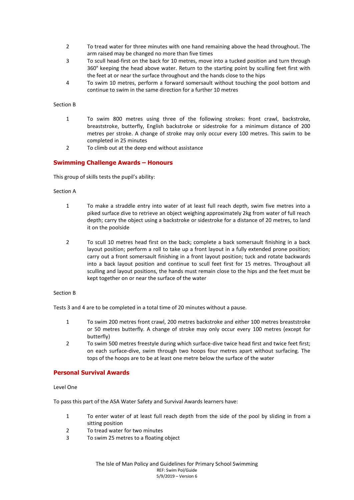- 2 To tread water for three minutes with one hand remaining above the head throughout. The arm raised may be changed no more than five times
- 3 To scull head-first on the back for 10 metres, move into a tucked position and turn through 360° keeping the head above water. Return to the starting point by sculling feet first with the feet at or near the surface throughout and the hands close to the hips
- 4 To swim 10 metres, perform a forward somersault without touching the pool bottom and continue to swim in the same direction for a further 10 metres

#### Section B

- 1 To swim 800 metres using three of the following strokes: front crawl, backstroke, breaststroke, butterfly, English backstroke or sidestroke for a minimum distance of 200 metres per stroke. A change of stroke may only occur every 100 metres. This swim to be completed in 25 minutes
- 2 To climb out at the deep end without assistance

### **Swimming Challenge Awards – Honours**

This group of skills tests the pupil's ability:

#### Section A

- 1 To make a straddle entry into water of at least full reach depth, swim five metres into a piked surface dive to retrieve an object weighing approximately 2kg from water of full reach depth; carry the object using a backstroke or sidestroke for a distance of 20 metres, to land it on the poolside
- 2 To scull 10 metres head first on the back; complete a back somersault finishing in a back layout position; perform a roll to take up a front layout in a fully extended prone position; carry out a front somersault finishing in a front layout position; tuck and rotate backwards into a back layout position and continue to scull feet first for 15 metres. Throughout all sculling and layout positions, the hands must remain close to the hips and the feet must be kept together on or near the surface of the water

#### Section B

Tests 3 and 4 are to be completed in a total time of 20 minutes without a pause.

- 1 To swim 200 metres front crawl, 200 metres backstroke and either 100 metres breaststroke or 50 metres butterfly. A change of stroke may only occur every 100 metres (except for butterfly)
- 2 To swim 500 metres freestyle during which surface-dive twice head first and twice feet first; on each surface-dive, swim through two hoops four metres apart without surfacing. The tops of the hoops are to be at least one metre below the surface of the water

#### **Personal Survival Awards**

#### Level One

To pass this part of the ASA Water Safety and Survival Awards learners have:

- 1 To enter water of at least full reach depth from the side of the pool by sliding in from a sitting position
- 2 To tread water for two minutes
- 3 To swim 25 metres to a floating object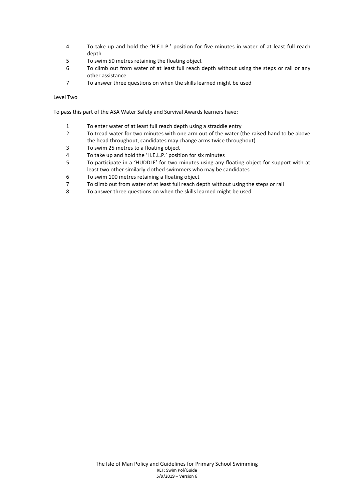- 4 To take up and hold the 'H.E.L.P.' position for five minutes in water of at least full reach depth
- 5 To swim 50 metres retaining the floating object
- 6 To climb out from water of at least full reach depth without using the steps or rail or any other assistance
- 7 To answer three questions on when the skills learned might be used

#### Level Two

To pass this part of the ASA Water Safety and Survival Awards learners have:

- 1 To enter water of at least full reach depth using a straddle entry
- 2 To tread water for two minutes with one arm out of the water (the raised hand to be above the head throughout, candidates may change arms twice throughout)
- 3 To swim 25 metres to a floating object
- 4 To take up and hold the 'H.E.L.P.' position for six minutes
- 5 To participate in a 'HUDDLE' for two minutes using any floating object for support with at least two other similarly clothed swimmers who may be candidates
- 6 To swim 100 metres retaining a floating object
- 7 To climb out from water of at least full reach depth without using the steps or rail
- 8 To answer three questions on when the skills learned might be used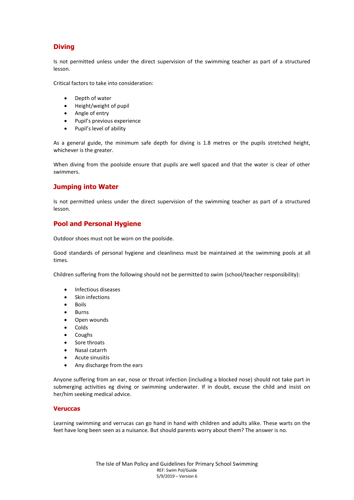# **Diving**

Is not permitted unless under the direct supervision of the swimming teacher as part of a structured lesson.

Critical factors to take into consideration:

- Depth of water
- Height/weight of pupil
- Angle of entry
- Pupil's previous experience
- Pupil's level of ability

As a general guide, the minimum safe depth for diving is 1.8 metres or the pupils stretched height, whichever is the greater.

When diving from the poolside ensure that pupils are well spaced and that the water is clear of other swimmers.

## **Jumping into Water**

Is not permitted unless under the direct supervision of the swimming teacher as part of a structured lesson.

## **Pool and Personal Hygiene**

Outdoor shoes must not be worn on the poolside.

Good standards of personal hygiene and cleanliness must be maintained at the swimming pools at all times.

Children suffering from the following should not be permitted to swim (school/teacher responsibility):

- Infectious diseases
- Skin infections
- Boils
- Burns
- Open wounds
- Colds
- Coughs
- Sore throats
- Nasal catarrh
- Acute sinusitis
- Any discharge from the ears

Anyone suffering from an ear, nose or throat infection (including a blocked nose) should not take part in submerging activities eg diving or swimming underwater. If in doubt, excuse the child and insist on her/him seeking medical advice.

#### **Veruccas**

Learning swimming and verrucas can go hand in hand with children and adults alike. These warts on the feet have long been seen as a nuisance. But should parents worry about them? The answer is no.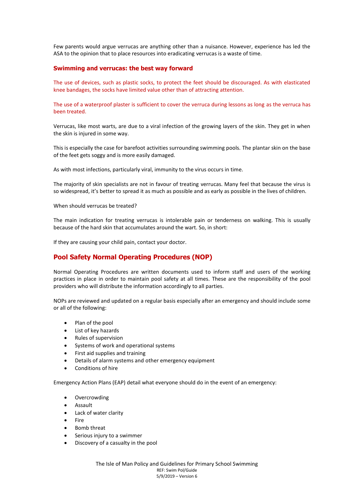Few parents would argue verrucas are anything other than a nuisance. However, experience has led the ASA to the opinion that to place resources into eradicating verrucas is a waste of time.

### **Swimming and verrucas: the best way forward**

The use of devices, such as plastic socks, to protect the feet should be discouraged. As with elasticated knee bandages, the socks have limited value other than of attracting attention.

The use of a waterproof plaster is sufficient to cover the verruca during lessons as long as the verruca has been treated.

Verrucas, like most warts, are due to a viral infection of the growing layers of the skin. They get in when the skin is injured in some way.

This is especially the case for barefoot activities surrounding swimming pools. The plantar skin on the base of the feet gets soggy and is more easily damaged.

As with most infections, particularly viral, immunity to the virus occurs in time.

The majority of skin specialists are not in favour of treating verrucas. Many feel that because the virus is so widespread, it's better to spread it as much as possible and as early as possible in the lives of children.

When should verrucas be treated?

The main indication for treating verrucas is intolerable pain or tenderness on walking. This is usually because of the hard skin that accumulates around the wart. So, in short:

If they are causing your child pain, contact your doctor.

## **Pool Safety Normal Operating Procedures (NOP)**

Normal Operating Procedures are written documents used to inform staff and users of the working practices in place in order to maintain pool safety at all times. These are the responsibility of the pool providers who will distribute the information accordingly to all parties.

NOPs are reviewed and updated on a regular basis especially after an emergency and should include some or all of the following:

- Plan of the pool
- List of key hazards
- Rules of supervision
- Systems of work and operational systems
- First aid supplies and training
- Details of alarm systems and other emergency equipment
- Conditions of hire

Emergency Action Plans (EAP) detail what everyone should do in the event of an emergency:

- Overcrowding
- Assault
- Lack of water clarity
- Fire
- Bomb threat
- Serious injury to a swimmer
- Discovery of a casualty in the pool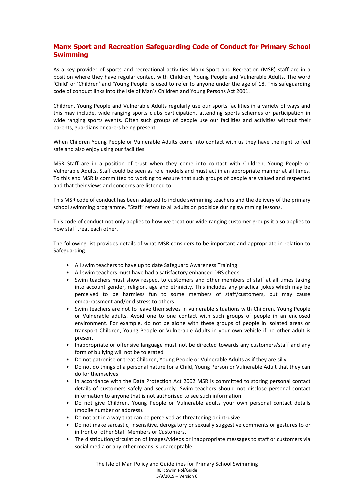## **Manx Sport and Recreation Safeguarding Code of Conduct for Primary School Swimming**

As a key provider of sports and recreational activities Manx Sport and Recreation (MSR) staff are in a position where they have regular contact with Children, Young People and Vulnerable Adults. The word 'Child' or 'Children' and 'Young People' is used to refer to anyone under the age of 18. This safeguarding code of conduct links into the Isle of Man's Children and Young Persons Act 2001.

Children, Young People and Vulnerable Adults regularly use our sports facilities in a variety of ways and this may include, wide ranging sports clubs participation, attending sports schemes or participation in wide ranging sports events. Often such groups of people use our facilities and activities without their parents, guardians or carers being present.

When Children Young People or Vulnerable Adults come into contact with us they have the right to feel safe and also enjoy using our facilities.

MSR Staff are in a position of trust when they come into contact with Children, Young People or Vulnerable Adults. Staff could be seen as role models and must act in an appropriate manner at all times. To this end MSR is committed to working to ensure that such groups of people are valued and respected and that their views and concerns are listened to.

This MSR code of conduct has been adapted to include swimming teachers and the delivery of the primary school swimming programme. "Staff" refers to all adults on poolside during swimming lessons.

This code of conduct not only applies to how we treat our wide ranging customer groups it also applies to how staff treat each other.

The following list provides details of what MSR considers to be important and appropriate in relation to Safeguarding.

- All swim teachers to have up to date Safeguard Awareness Training
- All swim teachers must have had a satisfactory enhanced DBS check
- Swim teachers must show respect to customers and other members of staff at all times taking into account gender, religion, age and ethnicity. This includes any practical jokes which may be perceived to be harmless fun to some members of staff/customers, but may cause embarrassment and/or distress to others
- Swim teachers are not to leave themselves in vulnerable situations with Children, Young People or Vulnerable adults. Avoid one to one contact with such groups of people in an enclosed environment. For example, do not be alone with these groups of people in isolated areas or transport Children, Young People or Vulnerable Adults in your own vehicle if no other adult is present
- Inappropriate or offensive language must not be directed towards any customers/staff and any form of bullying will not be tolerated
- Do not patronise or treat Children, Young People or Vulnerable Adults as if they are silly
- Do not do things of a personal nature for a Child, Young Person or Vulnerable Adult that they can do for themselves
- In accordance with the Data Protection Act 2002 MSR is committed to storing personal contact details of customers safely and securely. Swim teachers should not disclose personal contact information to anyone that is not authorised to see such information
- Do not give Children, Young People or Vulnerable adults your own personal contact details (mobile number or address).
- Do not act in a way that can be perceived as threatening or intrusive
- Do not make sarcastic, insensitive, derogatory or sexually suggestive comments or gestures to or in front of other Staff Members or Customers.
- The distribution/circulation of images/videos or inappropriate messages to staff or customers via social media or any other means is unacceptable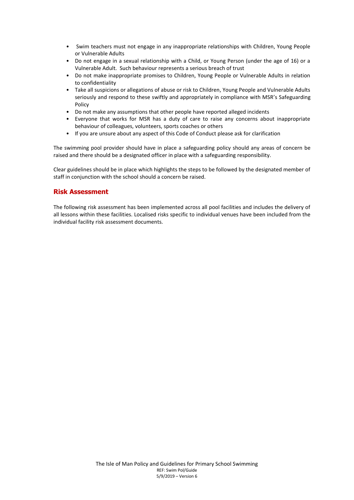- Swim teachers must not engage in any inappropriate relationships with Children, Young People or Vulnerable Adults
- Do not engage in a sexual relationship with a Child, or Young Person (under the age of 16) or a Vulnerable Adult. Such behaviour represents a serious breach of trust
- Do not make inappropriate promises to Children, Young People or Vulnerable Adults in relation to confidentiality
- Take all suspicions or allegations of abuse or risk to Children, Young People and Vulnerable Adults seriously and respond to these swiftly and appropriately in compliance with MSR's Safeguarding Policy
- Do not make any assumptions that other people have reported alleged incidents
- Everyone that works for MSR has a duty of care to raise any concerns about inappropriate behaviour of colleagues, volunteers, sports coaches or others
- If you are unsure about any aspect of this Code of Conduct please ask for clarification

The swimming pool provider should have in place a safeguarding policy should any areas of concern be raised and there should be a designated officer in place with a safeguarding responsibility.

Clear guidelines should be in place which highlights the steps to be followed by the designated member of staff in conjunction with the school should a concern be raised.

## **Risk Assessment**

The following risk assessment has been implemented across all pool facilities and includes the delivery of all lessons within these facilities. Localised risks specific to individual venues have been included from the individual facility risk assessment documents.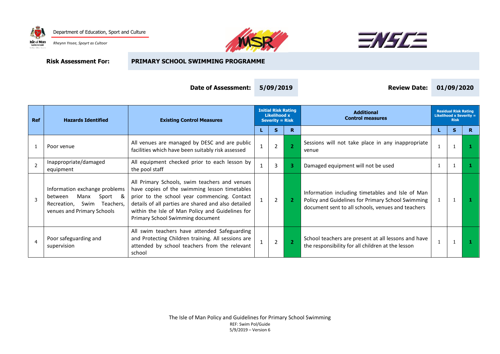





**Risk Assessment For: PRIMARY SCHOOL SWIMMING PROGRAMME**

| Date of Assessment: | 5/09/2019 |  |
|---------------------|-----------|--|
|---------------------|-----------|--|

| 5/09/2019 |  |
|-----------|--|
|-----------|--|

**Date of Assessment: 5/09/2019 Review Date: 01/09/2020**

| <b>Ref</b>     | <b>Hazards Identified</b>                                                                                                        | <b>Existing Control Measures</b>                                                                                                                                                                                                                                                              | <b>Initial Risk Rating</b><br><b>Likelihood x</b><br><b>Severity = Risk</b> |                |    | <b>Additional</b><br><b>Control measures</b>                                                                                                               |    | <b>Residual Risk Rating</b><br><b>Likelihood x Severity =</b><br><b>Risk</b> |    |
|----------------|----------------------------------------------------------------------------------------------------------------------------------|-----------------------------------------------------------------------------------------------------------------------------------------------------------------------------------------------------------------------------------------------------------------------------------------------|-----------------------------------------------------------------------------|----------------|----|------------------------------------------------------------------------------------------------------------------------------------------------------------|----|------------------------------------------------------------------------------|----|
|                |                                                                                                                                  |                                                                                                                                                                                                                                                                                               |                                                                             | s              | R. |                                                                                                                                                            | L. | s                                                                            | R. |
|                | Poor venue                                                                                                                       | All venues are managed by DESC and are public<br>facilities which have been suitably risk assessed                                                                                                                                                                                            |                                                                             | $\overline{2}$ |    | Sessions will not take place in any inappropriate<br>venue                                                                                                 |    |                                                                              |    |
| $\overline{2}$ | Inappropriate/damaged<br>equipment                                                                                               | All equipment checked prior to each lesson by<br>the pool staff                                                                                                                                                                                                                               |                                                                             | 3              | з  | Damaged equipment will not be used                                                                                                                         |    |                                                                              |    |
| 3              | Information exchange problems<br>&<br>Manx<br>Sport<br>between<br>Teachers.<br>Swim<br>Recreation,<br>venues and Primary Schools | All Primary Schools, swim teachers and venues<br>have copies of the swimming lesson timetables<br>prior to the school year commencing. Contact<br>details of all parties are shared and also detailed<br>within the Isle of Man Policy and Guidelines for<br>Primary School Swimming document |                                                                             | $\overline{2}$ |    | Information including timetables and Isle of Man<br>Policy and Guidelines for Primary School Swimming<br>document sent to all schools, venues and teachers |    |                                                                              |    |
| $\overline{4}$ | Poor safeguarding and<br>supervision                                                                                             | All swim teachers have attended Safeguarding<br>and Protecting Children training. All sessions are<br>attended by school teachers from the relevant<br>school                                                                                                                                 |                                                                             | $\overline{2}$ |    | School teachers are present at all lessons and have<br>the responsibility for all children at the lesson                                                   |    |                                                                              |    |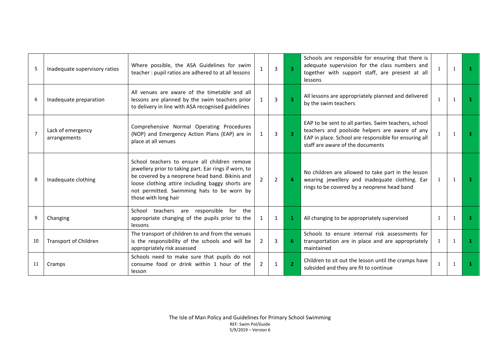| .5             | Inadequate supervisory ratios     | Where possible, the ASA Guidelines for swim<br>teacher: pupil ratios are adhered to at all lessons                                                                                                                                                                                  |   | 3              | $\overline{3}$          | Schools are responsible for ensuring that there is<br>adequate supervision for the class numbers and<br>together with support staff, are present at all<br><i>lessons</i>                           | $\mathbf{1}$ | $\mathbf{1}$ | п. |
|----------------|-----------------------------------|-------------------------------------------------------------------------------------------------------------------------------------------------------------------------------------------------------------------------------------------------------------------------------------|---|----------------|-------------------------|-----------------------------------------------------------------------------------------------------------------------------------------------------------------------------------------------------|--------------|--------------|----|
| 6              | Inadequate preparation            | All venues are aware of the timetable and all<br>lessons are planned by the swim teachers prior<br>to delivery in line with ASA recognised guidelines                                                                                                                               |   | 3              | $\overline{\mathbf{3}}$ | All lessons are appropriately planned and delivered<br>by the swim teachers                                                                                                                         | $\mathbf{1}$ | $\mathbf{1}$ | 1  |
| $\overline{7}$ | Lack of emergency<br>arrangements | Comprehensive Normal Operating Procedures<br>(NOP) and Emergency Action Plans (EAP) are in<br>place at all venues                                                                                                                                                                   |   | 3              | 3.                      | EAP to be sent to all parties. Swim teachers, school<br>teachers and poolside helpers are aware of any<br>EAP in place. School are responsible for ensuring all<br>staff are aware of the documents | $\mathbf{1}$ | $\mathbf{1}$ |    |
| 8              | Inadequate clothing               | School teachers to ensure all children remove<br>jewellery prior to taking part. Ear rings if worn, to<br>be covered by a neoprene head band. Bikinis and<br>loose clothing attire including baggy shorts are<br>not permitted. Swimming hats to be worn by<br>those with long hair |   | $\overline{2}$ | 4                       | No children are allowed to take part in the lesson<br>wearing jewellery and inadequate clothing. Ear<br>rings to be covered by a neoprene head band                                                 | $\mathbf{1}$ | 1            | л. |
| 9              | Changing                          | School teachers are responsible for the<br>appropriate changing of the pupils prior to the<br>lessons                                                                                                                                                                               |   | $\mathbf{1}$   |                         | All changing to be appropriately supervised                                                                                                                                                         | 1            |              |    |
| 10             | <b>Transport of Children</b>      | The transport of children to and from the venues<br>is the responsibility of the schools and will be<br>appropriately risk assessed                                                                                                                                                 | 2 | 3              |                         | Schools to ensure internal risk assessments for<br>transportation are in place and are appropriately<br>maintained                                                                                  | $\mathbf{1}$ | $\mathbf{1}$ | 1  |
| 11             | Cramps                            | Schools need to make sure that pupils do not<br>consume food or drink within 1 hour of the<br>lesson                                                                                                                                                                                | 2 | $\mathbf{1}$   | $\overline{2}$          | Children to sit out the lesson until the cramps have<br>subsided and they are fit to continue                                                                                                       | $\mathbf{1}$ |              |    |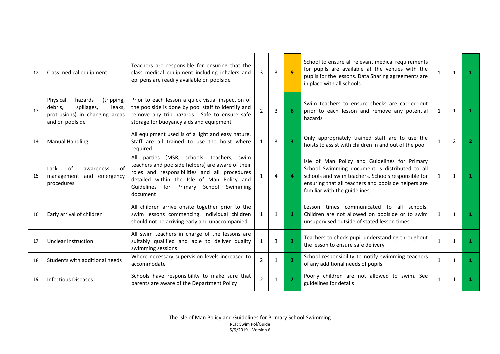| 12  | Class medical equipment                                                                                                   | Teachers are responsible for ensuring that the<br>class medical equipment including inhalers and<br>epi pens are readily available on poolside                                                                                                               | 3              | 3              | $\mathbf{q}$ | School to ensure all relevant medical requirements<br>for pupils are available at the venues with the<br>pupils for the lessons. Data Sharing agreements are<br>in place with all schools                                                    | $\mathbf{1}$ | $\mathbf{1}$ | л.           |
|-----|---------------------------------------------------------------------------------------------------------------------------|--------------------------------------------------------------------------------------------------------------------------------------------------------------------------------------------------------------------------------------------------------------|----------------|----------------|--------------|----------------------------------------------------------------------------------------------------------------------------------------------------------------------------------------------------------------------------------------------|--------------|--------------|--------------|
| 13  | Physical<br>hazards<br>(tripping,<br>spillages,<br>debris.<br>leaks.<br>protrusions) in changing areas<br>and on poolside | Prior to each lesson a quick visual inspection of<br>the poolside is done by pool staff to identify and<br>remove any trip hazards. Safe to ensure safe<br>storage for buoyancy aids and equipment                                                           | $\overline{2}$ | $\overline{3}$ |              | Swim teachers to ensure checks are carried out<br>prior to each lesson and remove any potential<br>hazards                                                                                                                                   | 1            | 1            | л.           |
| 14  | <b>Manual Handling</b>                                                                                                    | All equipment used is of a light and easy nature.<br>Staff are all trained to use the hoist where<br>required                                                                                                                                                | 1              | 3              |              | Only appropriately trained staff are to use the<br>hoists to assist with children in and out of the pool                                                                                                                                     | $\mathbf{1}$ | 2            | $\mathbf{2}$ |
| -15 | Lack<br>οf<br>awareness<br>n1<br>management and emergency<br>procedures                                                   | All parties (MSR, schools, teachers, swim<br>teachers and poolside helpers) are aware of their<br>roles and responsibilities and all procedures<br>detailed within the Isle of Man Policy and<br>Guidelines<br>for<br>Primary School<br>Swimming<br>document |                | $\overline{4}$ | 4            | Isle of Man Policy and Guidelines for Primary<br>School Swimming document is distributed to all<br>schools and swim teachers. Schools responsible for<br>ensuring that all teachers and poolside helpers are<br>familiar with the guidelines | $\mathbf{1}$ | 1            | 1.           |
| 16  | Early arrival of children                                                                                                 | All children arrive onsite together prior to the<br>swim lessons commencing. Individual children<br>should not be arriving early and unaccompanied                                                                                                           | $\mathbf{1}$   | $\mathbf{1}$   |              | Lesson times communicated<br>to<br>all schools.<br>Children are not allowed on poolside or to swim<br>unsupervised outside of stated lesson times                                                                                            | $\mathbf{1}$ | 1            | -1.          |
| 17  | Unclear Instruction                                                                                                       | All swim teachers in charge of the lessons are<br>suitably qualified and able to deliver quality<br>swimming sessions                                                                                                                                        |                | 3              |              | Teachers to check pupil understanding throughout<br>the lesson to ensure safe delivery                                                                                                                                                       | $\mathbf{1}$ | 1            | п.           |
| 18  | Students with additional needs                                                                                            | Where necessary supervision levels increased to<br>accommodate                                                                                                                                                                                               | 2              | 1              |              | School responsibility to notify swimming teachers<br>of any additional needs of pupils                                                                                                                                                       | $\mathbf{1}$ | $\mathbf{1}$ | 1.           |
| 19  | <b>Infectious Diseases</b>                                                                                                | Schools have responsibility to make sure that<br>parents are aware of the Department Policy                                                                                                                                                                  | $\overline{2}$ | $\mathbf{1}$   |              | Poorly children are not allowed to swim. See<br>guidelines for details                                                                                                                                                                       | $\mathbf{1}$ |              |              |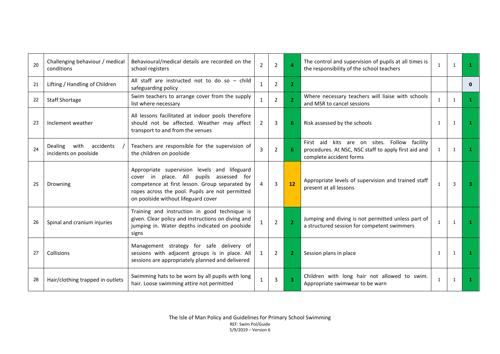| 20 | Challenging behaviour / medical<br>conditions         | Behavioural/medical details are recorded on the<br>school registers                                                                                                                                                                 | $\overline{2}$ | $\overline{2}$ |                | The control and supervision of pupils at all times is<br>the responsibility of the school teachers                              | $\mathbf{1}$ | 1            | 1.           |
|----|-------------------------------------------------------|-------------------------------------------------------------------------------------------------------------------------------------------------------------------------------------------------------------------------------------|----------------|----------------|----------------|---------------------------------------------------------------------------------------------------------------------------------|--------------|--------------|--------------|
| 21 | Lifting / Handling of Children                        | All staff are instructed not to do so - child<br>safeguarding policy                                                                                                                                                                | $\mathbf{1}$   | $\overline{2}$ | $\mathbf{2}$   |                                                                                                                                 |              |              | $\mathbf{0}$ |
| 22 | <b>Staff Shortage</b>                                 | Swim teachers to arrange cover from the supply<br>list where necessary                                                                                                                                                              | $\mathbf{1}$   | $\overline{2}$ | 2 <sup>1</sup> | Where necessary teachers will liaise with schools<br>and MSR to cancel sessions                                                 | $\mathbf{1}$ | 1            | 1.           |
| 23 | Inclement weather                                     | All lessons facilitated at indoor pools therefore<br>should not be affected. Weather may affect<br>transport to and from the venues                                                                                                 | $\overline{2}$ | 3              |                | Risk assessed by the schools                                                                                                    | 1            | $\mathbf{1}$ | л.           |
| 24 | with<br>accidents<br>Dealing<br>incidents on poolside | Teachers are responsible for the supervision of<br>the children on poolside                                                                                                                                                         | 3              | 2              |                | First aid kits are on sites. Follow facility<br>procedures. At NSC, NSC staff to apply first aid and<br>complete accident forms | $\mathbf{1}$ | 1            | 1            |
| 25 | Drowning                                              | Appropriate supervision levels and lifeguard<br>cover in place. All pupils assessed for<br>competence at first lesson. Group separated by<br>ropes across the pool. Pupils are not permitted<br>on poolside without lifeguard cover | 4              | 3              | 12             | Appropriate levels of supervision and trained staff<br>present at all lessons                                                   | $\mathbf{1}$ | 3            | з.           |
| 26 | Spinal and cranium injuries                           | Training and instruction in good technique is<br>given. Clear policy and instructions on diving and<br>jumping in. Water depths indicated on poolside<br>signs                                                                      |                | $\overline{2}$ |                | Jumping and diving is not permitted unless part of<br>a structured session for competent swimmers                               | $\mathbf{1}$ | 1            | п.           |
| 27 | Collisions                                            | Management strategy for safe delivery of<br>sessions with adjacent groups is in place. All<br>sessions are appropriately planned and delivered                                                                                      | 1              | $\overline{2}$ |                | Session plans in place                                                                                                          | 1            | 1            | -1.          |
| 28 | Hair/clothing trapped in outlets                      | Swimming hats to be worn by all pupils with long<br>hair. Loose swimming attire not permitted                                                                                                                                       | 1              | 3              |                | Children with long hair not allowed to swim.<br>Appropriate swimwear to be warn                                                 | 1            | $\mathbf{1}$ |              |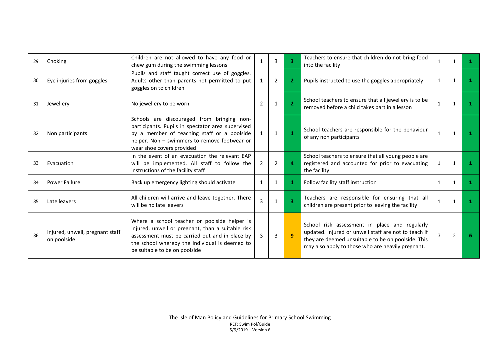| 29 | Choking                                        | Children are not allowed to have any food or<br>chew gum during the swimming lessons                                                                                                                                                   |   | 3            |               | Teachers to ensure that children do not bring food<br>into the facility                                                                                                                                          | 1             |              |    |
|----|------------------------------------------------|----------------------------------------------------------------------------------------------------------------------------------------------------------------------------------------------------------------------------------------|---|--------------|---------------|------------------------------------------------------------------------------------------------------------------------------------------------------------------------------------------------------------------|---------------|--------------|----|
| 30 | Eye injuries from goggles                      | Pupils and staff taught correct use of goggles.<br>Adults other than parents not permitted to put<br>goggles on to children                                                                                                            | 1 | 2            | 2.            | Pupils instructed to use the goggles appropriately                                                                                                                                                               | $\mathbf{1}$  |              |    |
| 31 | Jewellery                                      | No jewellery to be worn                                                                                                                                                                                                                | 2 | $\mathbf{1}$ | $\mathcal{P}$ | School teachers to ensure that all jewellery is to be<br>removed before a child takes part in a lesson                                                                                                           | 1             | $\mathbf{1}$ |    |
| 32 | Non participants                               | Schools are discouraged from bringing non-<br>participants. Pupils in spectator area supervised<br>by a member of teaching staff or a poolside<br>helper. Non - swimmers to remove footwear or<br>wear shoe covers provided            |   | $\mathbf{1}$ |               | School teachers are responsible for the behaviour<br>of any non participants                                                                                                                                     | 1             |              |    |
| 33 | Evacuation                                     | In the event of an evacuation the relevant EAP<br>will be implemented. All staff to follow the<br>instructions of the facility staff                                                                                                   | 2 | 2            |               | School teachers to ensure that all young people are<br>registered and accounted for prior to evacuating<br>the facility                                                                                          |               |              |    |
| 34 | <b>Power Failure</b>                           | Back up emergency lighting should activate                                                                                                                                                                                             | 1 | 1            |               | Follow facility staff instruction                                                                                                                                                                                | 1             |              |    |
| 35 | Late leavers                                   | All children will arrive and leave together. There<br>will be no late leavers                                                                                                                                                          | 3 | $\mathbf{1}$ |               | Teachers are responsible for ensuring that all<br>children are present prior to leaving the facility                                                                                                             | $\mathbf{1}$  |              |    |
| 36 | Injured, unwell, pregnant staff<br>on poolside | Where a school teacher or poolside helper is<br>injured, unwell or pregnant, than a suitable risk<br>assessment must be carried out and in place by<br>the school whereby the individual is deemed to<br>be suitable to be on poolside | 3 | 3            | $\mathbf{q}$  | School risk assessment in place and regularly<br>updated. Injured or unwell staff are not to teach if<br>they are deemed unsuitable to be on poolside. This<br>may also apply to those who are heavily pregnant. | $\mathcal{E}$ | 2            | 6. |